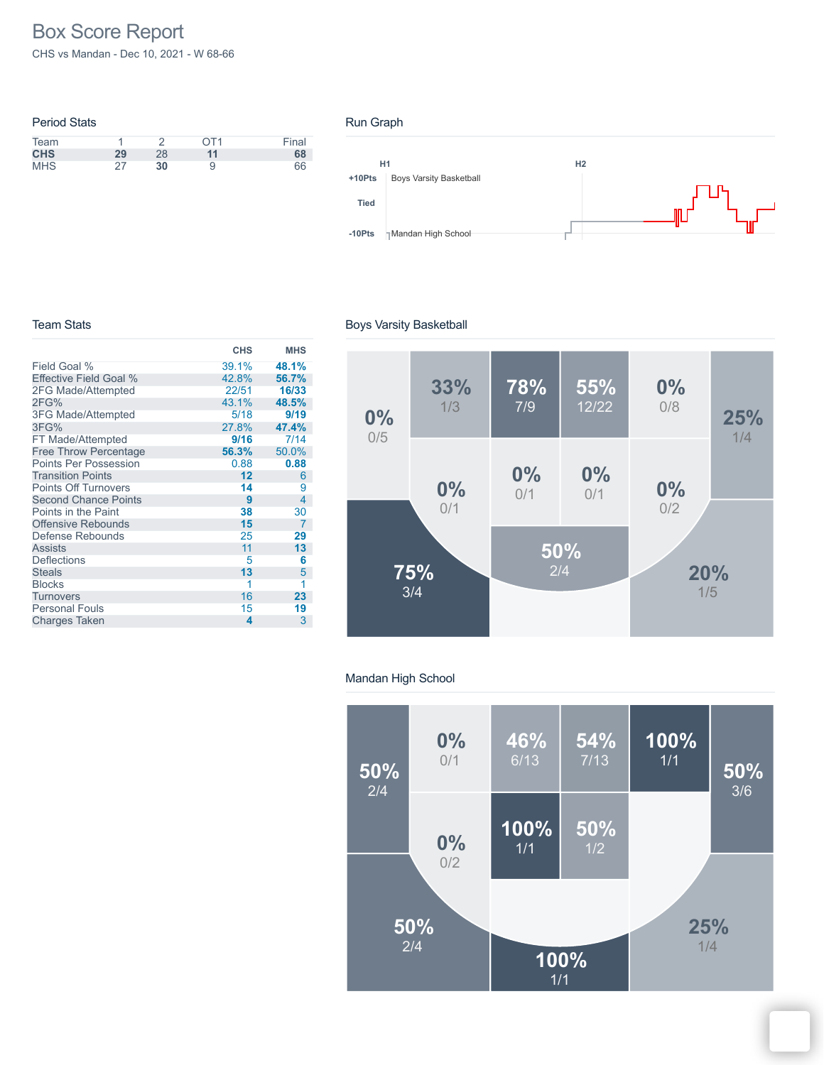# Box Score Report

CHS vs Mandan - Dec 10, 2021 - W 68-66

| <b>Period Stats</b> |    |    |                 |       |
|---------------------|----|----|-----------------|-------|
| Team                |    |    | OT <sub>1</sub> | Final |
| <b>CHS</b>          | 29 | 28 | 11              | 68    |
| <b>MHS</b>          | つフ | 30 |                 | 66    |

#### Run Graph



#### Team Stats

|                               | <b>CHS</b> | <b>MHS</b> |
|-------------------------------|------------|------------|
| Field Goal %                  | 39.1%      | 48.1%      |
| <b>Effective Field Goal %</b> | 42.8%      | 56.7%      |
| 2FG Made/Attempted            | 22/51      | 16/33      |
| 2FG%                          | 43.1%      | 48.5%      |
| <b>3FG Made/Attempted</b>     | 5/18       | 9/19       |
| 3FG%                          | 27.8%      | 47.4%      |
| FT Made/Attempted             | 9/16       | 7/14       |
| <b>Free Throw Percentage</b>  | 56.3%      | 50.0%      |
| <b>Points Per Possession</b>  | 0.88       | 0.88       |
| <b>Transition Points</b>      | 12         | 6          |
| <b>Points Off Turnovers</b>   | 14         | 9          |
| <b>Second Chance Points</b>   | 9          | 4          |
| Points in the Paint           | 38         | 30         |
| <b>Offensive Rebounds</b>     | 15         | 7          |
| Defense Rebounds              | 25         | 29         |
| <b>Assists</b>                | 11         | 13         |
| <b>Deflections</b>            | 5          | 6          |
| <b>Steals</b>                 | 13         | 5          |
| <b>Blocks</b>                 | 1          | 1          |
| Turnovers                     | 16         | 23         |
| <b>Personal Fouls</b>         | 15         | 19         |
| <b>Charges Taken</b>          | 4          | 3          |

## Boys Varsity Basketball



## Mandan High School